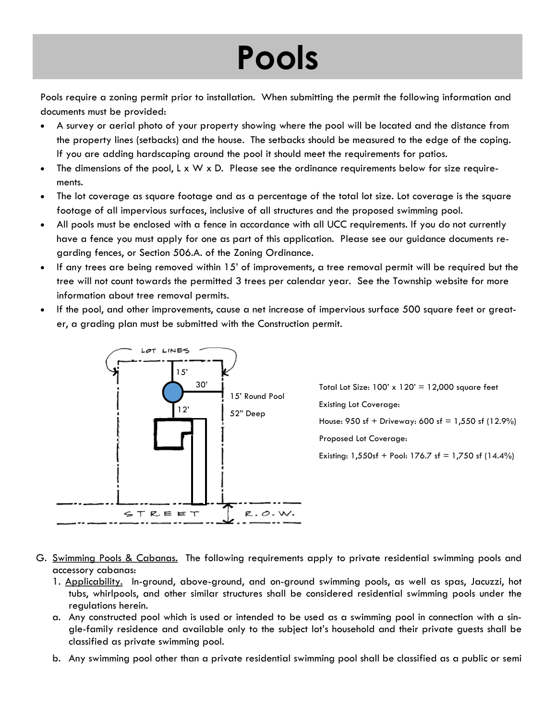## **Pools**

Pools require a zoning permit prior to installation. When submitting the permit the following information and documents must be provided:

- A survey or aerial photo of your property showing where the pool will be located and the distance from the property lines (setbacks) and the house. The setbacks should be measured to the edge of the coping. If you are adding hardscaping around the pool it should meet the requirements for patios.
- The dimensions of the pool,  $L \times W \times D$ . Please see the ordinance requirements below for size requirements.
- The lot coverage as square footage and as a percentage of the total lot size. Lot coverage is the square footage of all impervious surfaces, inclusive of all structures and the proposed swimming pool.
- All pools must be enclosed with a fence in accordance with all UCC requirements. If you do not currently have a fence you must apply for one as part of this application. Please see our guidance documents regarding fences, or Section 506.A. of the Zoning Ordinance.
- If any trees are being removed within 15' of improvements, a tree removal permit will be required but the tree will not count towards the permitted 3 trees per calendar year. See the Township website for more information about tree removal permits.
- If the pool, and other improvements, cause a net increase of impervious surface 500 square feet or greater, a grading plan must be submitted with the Construction permit.



Total Lot Size:  $100' \times 120' = 12,000$  square feet Existing Lot Coverage: House:  $950$  sf + Driveway:  $600$  sf = 1,550 sf (12.9%) Proposed Lot Coverage: Existing:  $1,550$ sf + Pool:  $176.7$  sf =  $1,750$  sf  $(14.4\%)$ 

- G. Swimming Pools & Cabanas. The following requirements apply to private residential swimming pools and accessory cabanas:
	- 1. Applicability. In-ground, above-ground, and on-ground swimming pools, as well as spas, Jacuzzi, hot tubs, whirlpools, and other similar structures shall be considered residential swimming pools under the regulations herein.
	- a. Any constructed pool which is used or intended to be used as a swimming pool in connection with a single-family residence and available only to the subject lot's household and their private guests shall be classified as private swimming pool.
	- b. Any swimming pool other than a private residential swimming pool shall be classified as a public or semi